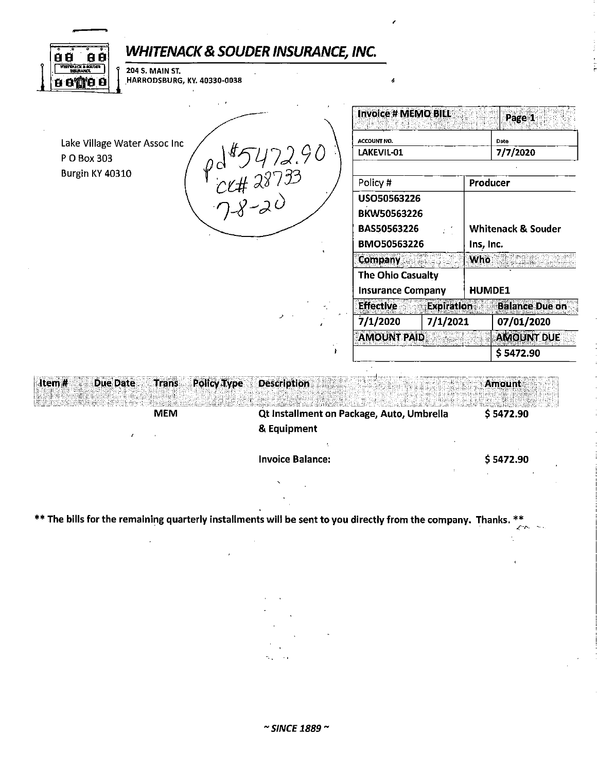| WHITENACK & SOUDER INSURANCE, INC.<br>8 Ø<br>8 Q.                                                                        |                           |                                               |                    |                                            |                       |  |
|--------------------------------------------------------------------------------------------------------------------------|---------------------------|-----------------------------------------------|--------------------|--------------------------------------------|-----------------------|--|
| <b>WHITEN CK &amp; SOUDER</b><br>THEIR ANCE<br><b>204 S. MAIN ST.</b><br>HARRODSBURG, KY. 40330-0038<br><b>6 8 0 8 8</b> |                           |                                               |                    |                                            |                       |  |
| Lake Village Water Assoc Inc                                                                                             |                           | <b>Invoice # MEMO BILL</b><br>ACCOUNT NO.     |                    |                                            | Page 1<br>Date        |  |
| P O Box 303                                                                                                              | $9d^95472.90$<br>CK#28733 |                                               | LAKEVIL-01         |                                            | 7/7/2020              |  |
| Burgin KY 40310                                                                                                          |                           | Policy #                                      |                    |                                            | Producer              |  |
|                                                                                                                          |                           | USO50563226<br>BKW50563226                    |                    |                                            |                       |  |
|                                                                                                                          |                           | BAS50563226<br>BMO50563226                    |                    | <b>Whitenack &amp; Souder</b><br>Ins, Inc. |                       |  |
|                                                                                                                          |                           |                                               |                    |                                            |                       |  |
|                                                                                                                          |                           | <b>Company</b>                                |                    | <b>Who</b><br>Muna                         |                       |  |
|                                                                                                                          |                           | The Ohio Casualty<br><b>Insurance Company</b> |                    | <b>HUMDE1</b>                              |                       |  |
|                                                                                                                          |                           | <b>Effective</b>                              | <b>Expiration®</b> |                                            | <b>Balance Due on</b> |  |
|                                                                                                                          |                           | 7/1/2020<br>7/1/2021                          |                    |                                            | 07/01/2020            |  |
|                                                                                                                          |                           | <b>AMOUNT PAID</b>                            |                    |                                            | <b>AMOUNT DUE</b>     |  |
|                                                                                                                          | $\ddot{r}$                |                                               |                    |                                            | \$5472.90             |  |
| <b>Due Date</b><br><b>Policy Type</b><br>Item#<br><b>Trans</b>                                                           | <b>Description</b>        |                                               |                    |                                            | <b>Amount</b>         |  |
| <b>MEM</b>                                                                                                               |                           | Qt Installment on Package, Auto, Umbrella     |                    |                                            | \$5472.90             |  |
|                                                                                                                          | & Equipment               |                                               |                    |                                            |                       |  |
|                                                                                                                          | <b>Invoice Balance:</b>   |                                               |                    |                                            | \$5472.90             |  |

 $\frac{1}{n}$ 

Ñ.

 $\mathbf{I}$ 

\*\* The bills for the remaining quarterly installments will be sent to you directly from the company. Thanks. \*\*

 $\alpha$ 

 $\bar{t}$ 

 $\hat{\mathcal{A}}$ 

 $\mathbf{S}_{\mathrm{c}}$ 

 $\hat{\boldsymbol{\theta}}$ 

 $\hat{\phantom{a}}$  $\ddot{\phantom{a}}$  $\sim$  .  $\sim$   $\epsilon$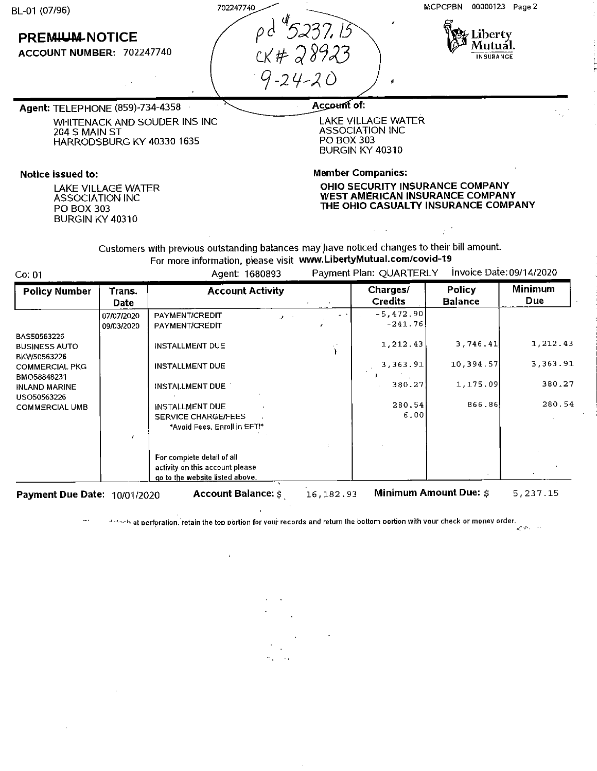| BL-01 (07/96) | 702247740 |
|---------------|-----------|
|               |           |

# **PREMIUM NOTICE**

**ACCOUNT NUMBER:** 702247740

p d<sup>. 4</sup>5237, I *C.K If-* J *~C) )J*  9-24-20

MCPCPBN 00000123 Page 2



*.1.··r-,* 

**Agent:** TELEPHONE {859)-734-4358 WHITENACK AND SOUDER INS INC 204 S MAIN ST HARRODSBURG KY 40330 1635

### **Notice issued to:**

LAKE VILLAGE WATER ASSOCIATION INC PO BOX 303 BURGIN KY 40310

## Account of:

LAKE VILLAGE WATER ASSOCIATION INC PO BOX 303 BURGIN KY 40310

,

**Member Companies:** 

**OHIO SECURITY INSURANCE COMPANY WEST AMERICAN INSURANCE COMPANY THE OHIO CASUALTY INSURANCE COMPANY** 

 $\mathbb{R}^{2}$ 

Customers with previous outstanding balances may have noticed changes to their bill amount. For more information, please visit **www.LibertyMutual.com/covid-19** 

Co: 01 Agent: 1680893 Payment Plan: QUARTERLY Invoice Date: 09/14/2020

 $\frac{1}{2}$ 

| <b>Policy Number</b>     | Trans.<br><b>Date</b> | <b>Account Activity</b>            |              | Charges/<br><b>Credits</b> | <b>Policy</b><br><b>Balance</b> | Minimum<br><b>Due</b> |
|--------------------------|-----------------------|------------------------------------|--------------|----------------------------|---------------------------------|-----------------------|
|                          | 07/07/2020            | <b>PAYMENT/CREDIT</b><br>$\lambda$ | $\mathbf{r}$ | $-5,472.90$                |                                 |                       |
|                          | 09/03/2020            | PAYMENT/CREDIT                     |              | $-241.76$                  |                                 |                       |
| BAS50563226              |                       |                                    |              |                            |                                 |                       |
| <b>BUSINESS AUTO</b>     |                       | <b>INSTALLMENT DUE</b>             |              | 1,212.43                   | 3,746.41                        | 1,212.43              |
| BKW50563226              |                       |                                    |              |                            |                                 |                       |
| <b>COMMERCIAL PKG</b>    |                       | <b>INSTALLMENT DUE</b>             |              | 3,363.91                   | 10,394.57                       | 3,363.91              |
| BMO58848231              |                       |                                    |              |                            |                                 |                       |
| <b>INLAND MARINE</b>     |                       | INSTALLMENT DUE                    |              | 380.27                     | 1,175.09                        | 380.27                |
| USO50563226              |                       |                                    |              |                            |                                 |                       |
| <b>COMMERCIAL UMB</b>    |                       | <b>INSTALLMENT DUE</b>             |              | 280.54                     | 866.86                          | 280.54                |
|                          |                       | SERVICE CHARGE/FEES                |              | 6.00                       |                                 |                       |
|                          |                       | *Avoid Fees, Enroll in EFT!*       |              |                            |                                 |                       |
|                          |                       |                                    |              |                            |                                 |                       |
|                          |                       |                                    |              |                            |                                 |                       |
|                          |                       | For complete detail of all         |              |                            |                                 |                       |
|                          |                       | activity on this account please    |              |                            |                                 |                       |
|                          |                       | go to the website listed above.    |              |                            |                                 |                       |
| <b>Payment Due Date:</b> | 10/01/2020            | <b>Account Balance: \$</b>         | 16, 182.93   |                            | <b>Minimum Amount Due: \$</b>   | 5,237.15              |

**-•-~-~hat oerf~ration.'retain the too oortion for voui- records and return lhe bottom oortion with vour check or monev order .** 

 $\ddot{\phantom{1}}$